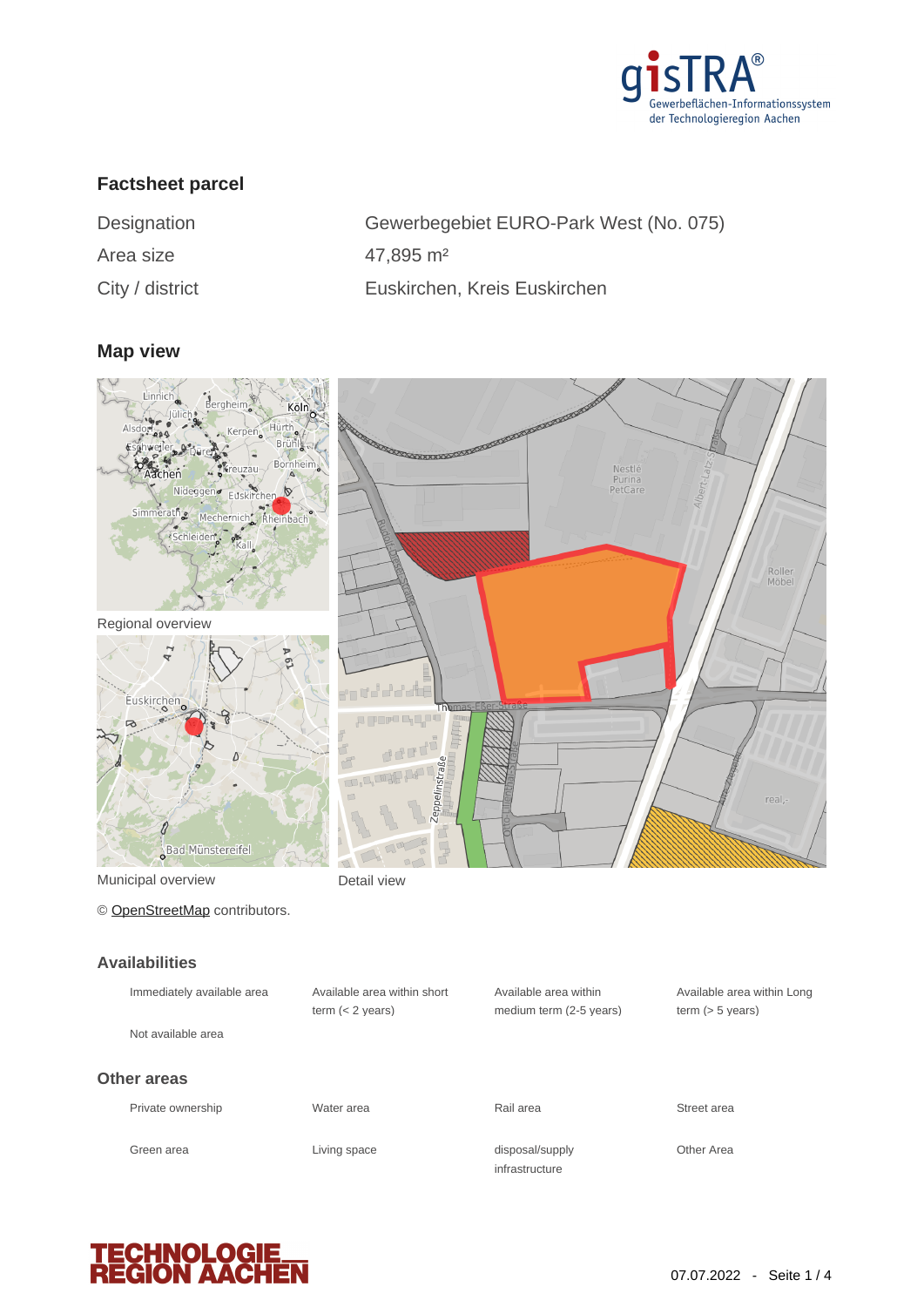

# **Factsheet parcel**

| Designation        |
|--------------------|
| Area size          |
| $C$ ity / dictrict |

Gewerbegebiet EURO-Park West (No. 075) 47,895 m<sup>2</sup> City / district Euskirchen, Kreis Euskirchen

# **Map view**



## **Availabilities**

| Immediately available area | Available area within short<br>term $(< 2$ years) | Available area within<br>medium term (2-5 years) | Available area within Long<br>term $(> 5$ years) |
|----------------------------|---------------------------------------------------|--------------------------------------------------|--------------------------------------------------|
| Not available area         |                                                   |                                                  |                                                  |
| Other areas                |                                                   |                                                  |                                                  |
| Private ownership          | Water area                                        | Rail area                                        | Street area                                      |
| Green area                 | Living space                                      | disposal/supply<br>infrastructure                | Other Area                                       |

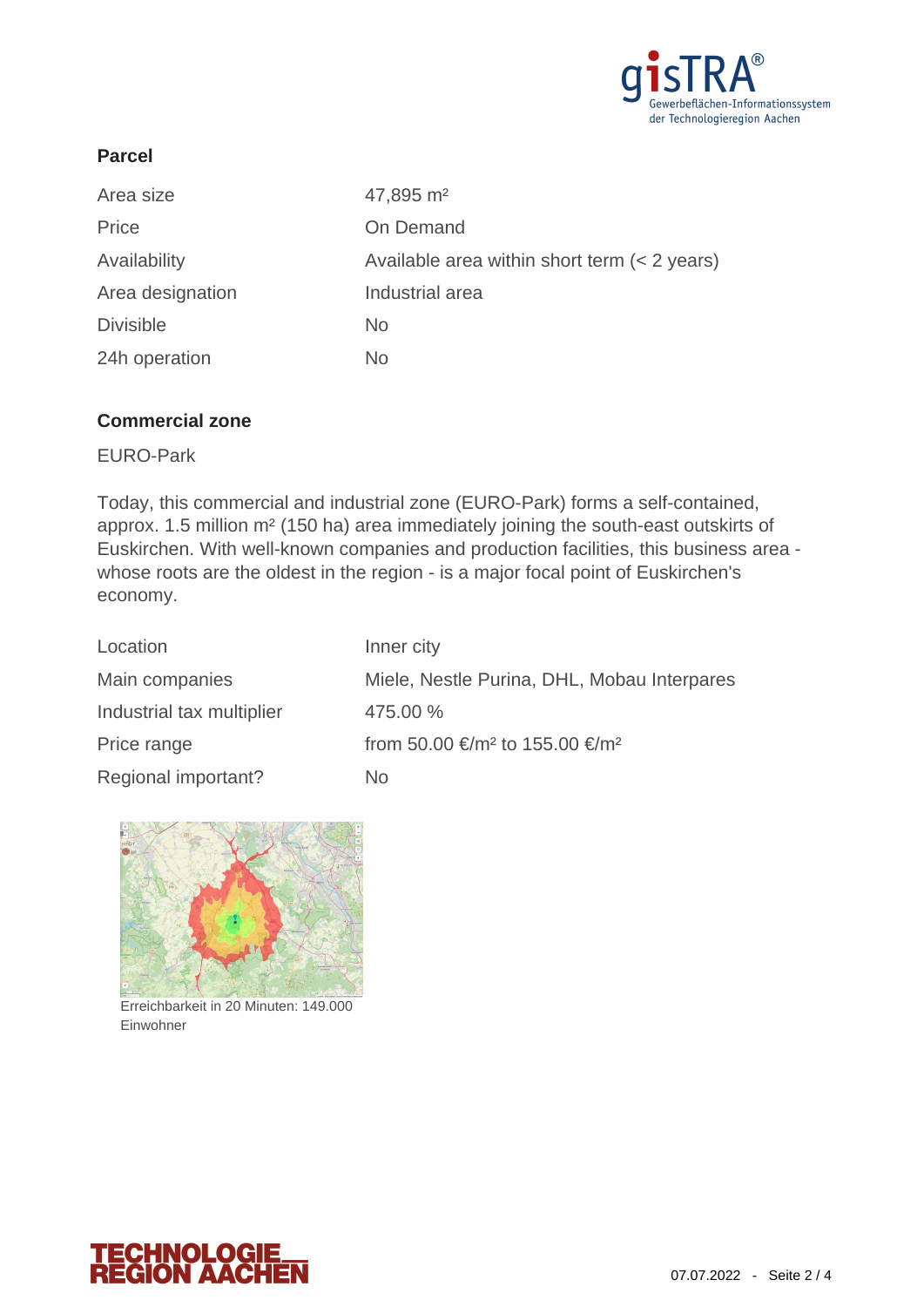

# **Parcel**

| Area size        | 47,895 m <sup>2</sup>                          |
|------------------|------------------------------------------------|
| Price            | On Demand                                      |
| Availability     | Available area within short term $(< 2$ years) |
| Area designation | Industrial area                                |
| <b>Divisible</b> | No.                                            |
| 24h operation    | No                                             |

### **Commercial zone**

EURO-Park

Today, this commercial and industrial zone (EURO-Park) forms a self-contained, approx. 1.5 million m² (150 ha) area immediately joining the south-east outskirts of Euskirchen. With well-known companies and production facilities, this business area whose roots are the oldest in the region - is a major focal point of Euskirchen's economy.

| Location                  | Inner city                                             |
|---------------------------|--------------------------------------------------------|
| Main companies            | Miele, Nestle Purina, DHL, Mobau Interpares            |
| Industrial tax multiplier | 475.00 %                                               |
| Price range               | from 50.00 €/m <sup>2</sup> to 155.00 €/m <sup>2</sup> |
| Regional important?       | No                                                     |



Erreichbarkeit in 20 Minuten: 149.000 Einwohner

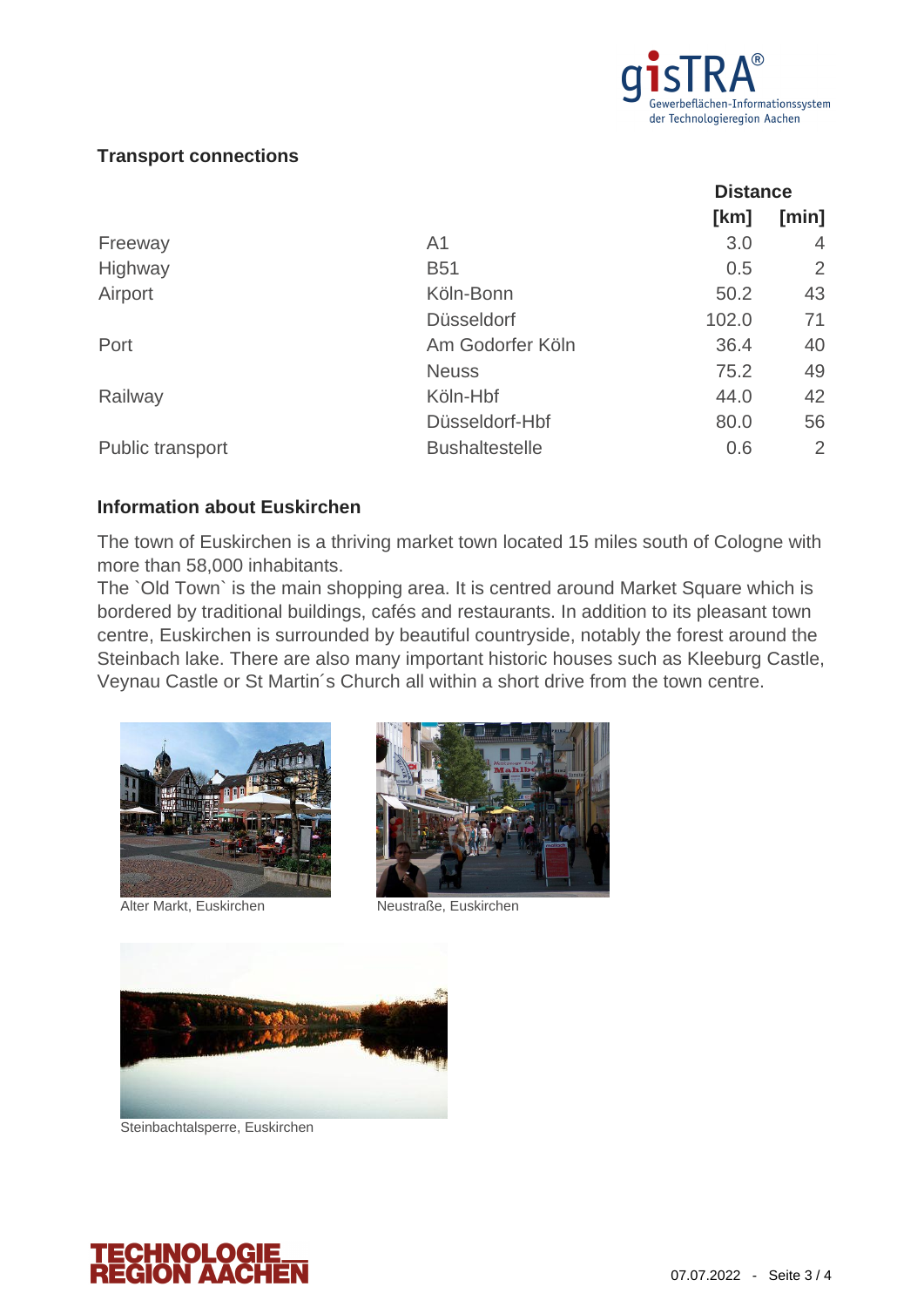

### **Transport connections**

|                         |                       | <b>Distance</b> |                |
|-------------------------|-----------------------|-----------------|----------------|
|                         |                       | [km]            | [min]          |
| Freeway                 | A <sub>1</sub>        | 3.0             | 4              |
| Highway                 | <b>B51</b>            | 0.5             | 2              |
| Airport                 | Köln-Bonn             | 50.2            | 43             |
|                         | <b>Düsseldorf</b>     | 102.0           | 71             |
| Port                    | Am Godorfer Köln      | 36.4            | 40             |
|                         | <b>Neuss</b>          | 75.2            | 49             |
| Railway                 | Köln-Hbf              | 44.0            | 42             |
|                         | Düsseldorf-Hbf        | 80.0            | 56             |
| <b>Public transport</b> | <b>Bushaltestelle</b> | 0.6             | $\overline{2}$ |

### **Information about Euskirchen**

The town of Euskirchen is a thriving market town located 15 miles south of Cologne with more than 58,000 inhabitants.

The `Old Town` is the main shopping area. It is centred around Market Square which is bordered by traditional buildings, cafés and restaurants. In addition to its pleasant town centre, Euskirchen is surrounded by beautiful countryside, notably the forest around the Steinbach lake. There are also many important historic houses such as Kleeburg Castle, Veynau Castle or St Martin´s Church all within a short drive from the town centre.



Alter Markt, Euskirchen Neustraße, Euskirchen





Steinbachtalsperre, Euskirchen